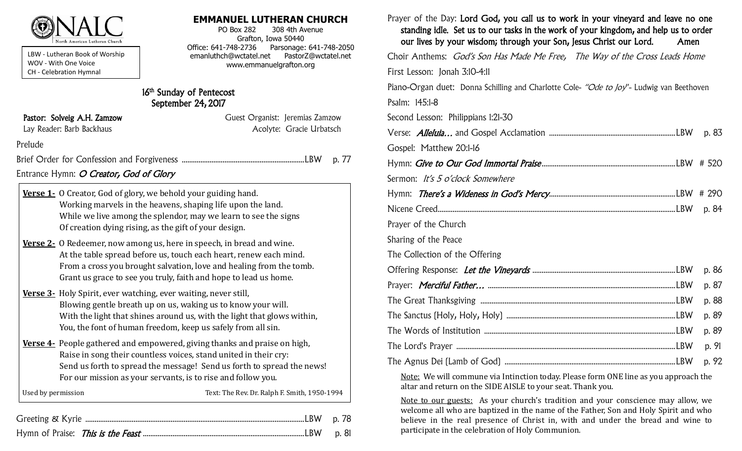

LBW - Lutheran Book of Worship WOV - With One Voice CH - Celebration Hymnal

### **EMMANUEL LUTHERAN CHURCH**

PO Box 282 308 4th Avenue Grafton, Iowa 50440 Office: 641-748-2736 Parsonage: 641-748-2050 emanluthch@wctatel.net PastorZ@wctatel.net www.emmanuelgrafton.org

## 16<sup>th</sup> Sunday of Pentecost September 24, 2017

| Pastor: Solveig A.H. Zamzow            | Guest Organist: Jeremias Zamzow |
|----------------------------------------|---------------------------------|
| Lay Reader: Barb Backhaus              | Acolyte: Gracie Urbatsch        |
| Prelude                                |                                 |
|                                        | p. 77                           |
| Entrance Hymn: O Creator, God of Glory |                                 |
|                                        |                                 |

|                    | Verse 1 - 0 Creator, God of glory, we behold your guiding hand.<br>Working marvels in the heavens, shaping life upon the land.<br>While we live among the splendor, may we learn to see the signs<br>Of creation dying rising, as the gift of your design.                                   |
|--------------------|----------------------------------------------------------------------------------------------------------------------------------------------------------------------------------------------------------------------------------------------------------------------------------------------|
|                    | <b>Verse 2.</b> O Redeemer, now among us, here in speech, in bread and wine.<br>At the table spread before us, touch each heart, renew each mind.<br>From a cross you brought salvation, love and healing from the tomb.<br>Grant us grace to see you truly, faith and hope to lead us home. |
|                    | <b>Verse 3-</b> Holy Spirit, ever watching, ever waiting, never still,<br>Blowing gentle breath up on us, waking us to know your will.<br>With the light that shines around us, with the light that glows within,<br>You, the font of human freedom, keep us safely from all sin.            |
|                    | Verse 4- People gathered and empowered, giving thanks and praise on high,<br>Raise in song their countless voices, stand united in their cry:<br>Send us forth to spread the message! Send us forth to spread the news!<br>For our mission as your servants, is to rise and follow you.      |
| Used by permission | Text: The Rev. Dr. Ralph F. Smith, 1950-1994                                                                                                                                                                                                                                                 |

Hymn of Praise: This is the Feast .......................................................................................LBW p. 81

Prayer of the Day: Lord God, you call us to work in your vineyard and leave no one standing idle. Set us to our tasks in the work of your kingdom, and help us to order our lives by your wisdom; through your Son, Jesus Christ our Lord. Amen Choir Anthems: God's Son Has Made Me Free, The Way of the Cross Leads Home First Lesson: Jonah 3:10-4:11 Piano-Organ duet: Donna Schilling and Charlotte Cole- "Ode to Joy"- Ludwig van Beethoven Psalm: 145:1-8 Second Lesson: Philippians 1:21-30 Verse: Alleluia… and Gospel Acclamation ....................................................................LBW p. 83 Gospel: Matthew 20:1-16 Hymn: Give to Our God Immortal Praise ........................................................................LBW # 520 Sermon: It's 5 o'clock Somewhere Hymn: There's a Wideness in God's Mercy....................................................................LBW # 290 Nicene Creed................................................................................................................................LBW p. 84 Prayer of the Church Sharing of the Peace The Collection of the Offering Offering Response: Let the Vineyards .............................................................................LBW p. 86 Prayer: Merciful Father… .....................................................................................................LBW p. 87 The Great Thanksgiving .........................................................................................................LBW p. 88 The Sanctus (Holy, Holy, Holy) ...........................................................................................LBW p. 89 The Words of Institution .......................................................................................................LBW p. 89 The Lord's Prayer ......................................................................................................................LBW p. 91 The Agnus Dei (Lamb of God) ............................................................................................LBW p. 92

Note: We will commune via Intinction today. Please form ONE line as you approach the altar and return on the SIDE AISLE to your seat. Thank you.

Note to our guests: As your church's tradition and your conscience may allow, we welcome all who are baptized in the name of the Father, Son and Holy Spirit and who believe in the real presence of Christ in, with and under the bread and wine to participate in the celebration of Holy Communion.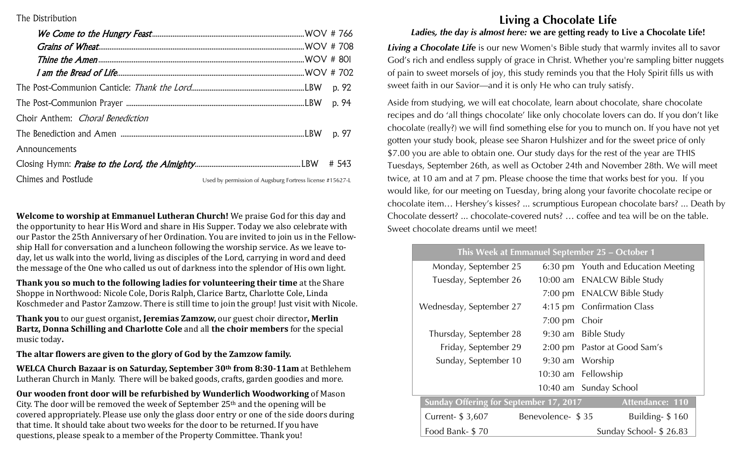### The Distribution

| Choir Anthem: <i>Choral Benediction</i> |                                                                                                                                                                                                                                                                                                                     |       |
|-----------------------------------------|---------------------------------------------------------------------------------------------------------------------------------------------------------------------------------------------------------------------------------------------------------------------------------------------------------------------|-------|
|                                         |                                                                                                                                                                                                                                                                                                                     | p. 97 |
| Announcements                           |                                                                                                                                                                                                                                                                                                                     |       |
|                                         |                                                                                                                                                                                                                                                                                                                     |       |
| Chimes and Postlude                     | $\frac{1}{2}$ $\frac{1}{2}$ $\frac{1}{2}$ $\frac{1}{2}$ $\frac{1}{2}$ $\frac{1}{2}$ $\frac{1}{2}$ $\frac{1}{2}$ $\frac{1}{2}$ $\frac{1}{2}$ $\frac{1}{2}$ $\frac{1}{2}$ $\frac{1}{2}$ $\frac{1}{2}$ $\frac{1}{2}$ $\frac{1}{2}$ $\frac{1}{2}$ $\frac{1}{2}$ $\frac{1}{2}$ $\frac{1}{2}$ $\frac{1}{2}$ $\frac{1}{2}$ |       |

Welcome to worship at Emmanuel Lutheran Church! We praise God for this day and the opportunity to hear His Word and share in His Supper. Today we also celebrate with our Pastor the 25th Anniversary of her Ordination. You are invited to join us in the Fellowship Hall for conversation and a luncheon following the worship service. As we leave today, let us walk into the world, living as disciples of the Lord, carrying in word and deed the message of the One who called us out of darkness into the splendor of His own light.

Thank you so much to the following ladies for volunteering their time at the Share Shoppe in Northwood: Nicole Cole, Doris Ralph, Clarice Bartz, Charlotte Cole, Linda Koschmeder and Pastor Zamzow. There is still time to join the group! Just visit with Nicole.

Thank you to our guest organist, Jeremias Zamzow, our guest choir director, Merlin Bartz, Donna Schilling and Charlotte Cole and all the choir members for the special music today.

The altar flowers are given to the glory of God by the Zamzow family.

WELCA Church Bazaar is on Saturday, September 30th from 8:30-11am at Bethlehem Lutheran Church in Manly. There will be baked goods, crafts, garden goodies and more.

Our wooden front door will be refurbished by Wunderlich Woodworking of Mason City. The door will be removed the week of September 25<sup>th</sup> and the opening will be covered appropriately. Please use only the glass door entry or one of the side doors during that time. It should take about two weeks for the door to be returned. If you have questions, please speak to a member of the Property Committee. Thank you!

# Living a Chocolate Life

## Ladies, the day is almost here: we are getting ready to Live a Chocolate Life!

Living a Chocolate Life is our new Women's Bible study that warmly invites all to savor God's rich and endless supply of grace in Christ. Whether you're sampling bitter nuggets of pain to sweet morsels of joy, this study reminds you that the Holy Spirit fills us with sweet faith in our Savior-and it is only He who can truly satisfy.

Aside from studying, we will eat chocolate, learn about chocolate, share chocolate recipes and do 'all things chocolate' like only chocolate lovers can do. If you don't like chocolate (really?) we will find something else for you to munch on. If you have not yet gotten your study book, please see Sharon Hulshizer and for the sweet price of only \$7.00 you are able to obtain one. Our study days for the rest of the year are THIS Tuesdays, September 26th, as well as October 24th and November 28th. We will meet twice, at 10 am and at 7 pm. Please choose the time that works best for you. If you would like, for our meeting on Tuesday, bring along your favorite chocolate recipe or chocolate item... Hershey's kisses? ... scrumptious European chocolate bars? ... Death by Chocolate dessert? ... chocolate-covered nuts? ... coffee and tea will be on the table. Sweet chocolate dreams until we meet!

## This Week at Emmanuel September 25 - October 1

| Monday, September 25                          |                   | 6:30 pm Youth and Education Meeting |
|-----------------------------------------------|-------------------|-------------------------------------|
| Tuesday, September 26                         |                   | 10:00 am ENALCW Bible Study         |
|                                               |                   | 7:00 pm ENALCW Bible Study          |
| Wednesday, September 27                       |                   | 4:15 pm Confirmation Class          |
|                                               | 7:00 pm Choir     |                                     |
| Thursday, September 28                        |                   | 9:30 am Bible Study                 |
| Friday, September 29                          |                   | 2:00 pm Pastor at Good Sam's        |
| Sunday, September 10                          | 9:30 am Worship   |                                     |
|                                               |                   | 10:30 am Fellowship                 |
|                                               |                   | 10:40 am Sunday School              |
| <b>Sunday Offering for September 17, 2017</b> |                   | Attendance: 110                     |
| Current- $$3,607$                             | Benevolence- \$35 | Building- $$160$                    |
| Food Bank- \$70                               |                   | Sunday School- \$26.83              |